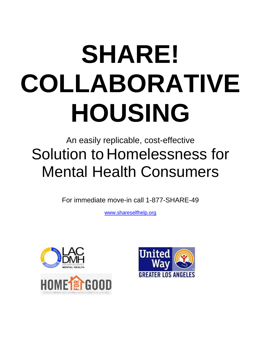# **SHARE! COLLABORATIVE HOUSING**

# An easily replicable, cost-effective Solution to Homelessness for Mental Health Consumers

For immediate move-in call 1-877-SHARE-49

[www.shareselfhelp.org](http://www.shareselfhelp.org/)





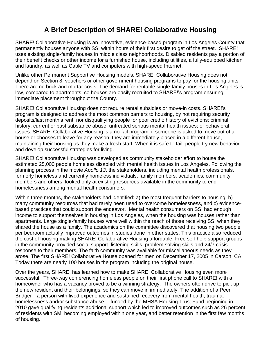# **A Brief Description of SHARE! Collaborative Housing**

SHARE! Collaborative Housing is an innovative, evidence-based program in Los Angeles County that permanently houses anyone with SSI within hours of their first desire to get off the street. SHARE! uses existing single-family houses in middle class neighborhoods. Disabled residents pay a portion of their benefit checks or other income for a furnished house, including utilities, a fully-equipped kitchen and laundry, as well as Cable TV and computers with high-speed Internet.

Unlike other Permanent Supportive Housing models, SHARE! Collaborative Housing does not depend on Section 8, vouchers or other government housing programs to pay for the housing units. There are no brick and mortar costs. The demand for rentable single-family houses in Los Angeles is low, compared to apartments, so houses are easily recruited to SHARE!'s program ensuring immediate placement throughout the County.

SHARE! Collaborative Housing does not require rental subsidies or move-in costs. SHARE!'s program is designed to address the most common barriers to housing, by not requiring security deposits/last month's rent, nor disqualifying people for poor credit; history of evictions; criminal history; current or past substance abuse; untreated serious mental health issues; or behavioral issues. SHARE! Collaborative Housing is a no-fail program: if someone is asked to move out of a house or chooses to leave for any reason, they are immediately placed in a different house, maintaining their housing as they make a fresh start. When it is safe to fail, people try new behavior and develop successful strategies for living.

SHARE! Collaborative Housing was developed as community stakeholder effort to house the estimated 25,000 people homeless disabled with mental health issues in Los Angeles. Following the planning process in the movie *Apollo 13*, the stakeholders, including mental health professionals, formerly homeless and currently homeless individuals, family members, academics, community members and others, looked only at existing resources available in the community to end homelessness among mental health consumers.

Within three months, the stakeholders had identified: a) the most frequent barriers to housing, b) many community resources that had rarely been used to overcome homelessness, and c) evidencebased practices that could support the endeavor. Mental health consumers on SSI had enough income to support themselves in housing in Los Angeles, when the housing was houses rather than apartments. Large single-family houses were well within the reach of those receiving SSI when they shared the house as a family. The academics on the committee discovered that housing two people per bedroom actually improved outcomes in studies done in other states. This practice also reduced the cost of housing making SHARE! Collaborative Housing affordable. Free self-help support groups in the community provided social support, listening skills, problem solving skills and 24/7 crisis response to their members. The faith community was available for miscellaneous needs as they arose. The first SHARE! Collaborative House opened for men on December 17, 2005 in Carson, CA. Today there are nearly 100 houses in the program including the original house.

Over the years, SHARE! has learned how to make SHARE! Collaborative Housing even more successful. Three-way conferencing homeless people on their first phone call to SHARE! with a homeowner who has a vacancy proved to be a winning strategy. The owners often drive to pick up the new resident and their belongings, so they can move in immediately. The addition of a Peer Bridger—a person with lived experience and sustained recovery from mental health, trauma, homelessness and/or substance abuse— funded by the MHSA Housing Trust Fund beginning in 2010 gave qualifying residents additional support which led to improved outcomes such as 26 percent of residents with SMI becoming employed within one year, and better retention in the first few months of housing.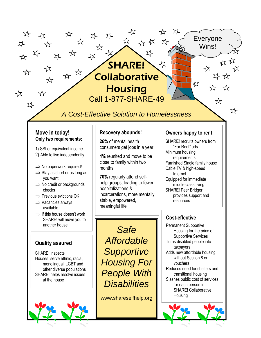# SHARE! ヤ **Collaborative**

 $\approx$   $\approx$ 

╳

**Housing** Call 1-877-SHARE-49

# *A Cost-Effective Solution to Homelessness*

#### **Move in today! Only two requirements:**

☆

☆

 $X$ 

╳≻

╳≻

 $\lambda^{\prime}$ 

 $x^2$ 

☆

☆

 $X^{\perp}$ 

☆

- 1) SSI or equivalent income
- 2) Able to live independently
- $\Rightarrow$  No paperwork required!
- $\Rightarrow$  Stay as short or as long as you want
- $\Rightarrow$  No credit or backgrounds checks
- $\Rightarrow$  Previous evictions OK
- $\Rightarrow$  Vacancies always available
- $\Rightarrow$  If this house doesn't work SHARE! will move you to another house

#### **Quality assured**

SHARE! inspects Houses serve ethnic, racial, monolingual, LGBT and other diverse populations SHARE! helps resolve issues at the house



#### **Recovery abounds!**

**26%** of mental health consumers get jobs in a year

**4%** reunited and move to be close to family within two months

**70%** regularly attend selfhelp groups, leading to fewer hospitalizations & incarcerations, more mentally stable, empowered, meaningful life

#### **Owners happy to rent:**

Everyone Wins!

☆

女女

☆

☆

≿≻ ≭≿

☆

SHARE! recruits owners from "For Rent" ads Minimum housing requirements: Furnished Single family house Cable TV & high-speed Internet Equipped for immediate middle-class living SHARE! Peer Bridger provides support and resources

#### **Cost-effective**

Permanent Supportive Housing for the price of Supportive Services Turns disabled people into taxpayers Adds new affordable housing without Section 8 or vouchers Reduces need for shelters and transitional housing Slashes public cost of services for each person in SHARE! Collaborative Housing



*Safe Affordable Supportive Housing For People With Disabilities*

www.shareselfhelp.org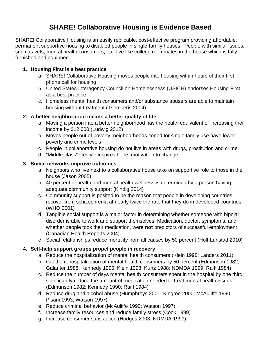# **SHARE! Collaborative Housing is Evidence Based**

SHARE! Collaborative Housing is an easily replicable, cost-effective program providing affordable, permanent supportive housing to disabled people in single-family houses. People with similar issues, such as vets, mental health consumers, etc. live like college roommates in the house which is fully furnished and equipped.

#### **1. Housing First is a best practice**

- a. SHARE! Collaborative Housing moves people into housing within hours of their first phone call for housing
- b. United States Interagency Council on Homelessness (USICH) endorses Housing First as a best practice
- c. Homeless mental health consumers and/or substance abusers are able to maintain housing without treatment (Tsemberis 2004)

#### **2. A better neighborhood means a better quality of life**

- a. Moving a person into a better neighborhood has the health equivalent of increasing their income by \$12,000 (Ludwig 2012)
- b. Moves people out of poverty; neighborhoods zoned for single family use have lower poverty and crime levels
- c. People in collaborative housing do not live in areas with drugs, prostitution and crime
- d. "Middle-class" lifestyle inspires hope, motivation to change

#### **3. Social networks improve outcomes**

- a. Neighbors who live next to a collaborative house take on supportive role to those in the house (Jason 2005)
- b. 40 percent of health and mental health wellness is determined by a person having adequate community support (Kindig 2014)
- c. Community support is posited to be the reason that people in developing countries recover from schizophrenia at nearly twice the rate that they do in developed countries (WHO 2001)
- d. Tangible social support is a major factor in determining whether someone with bipolar disorder is able to work and support themselves. Medication, doctor, symptoms, and whether people took their medication, were **not** predictors of successful employment (Canadian Health Reports 2004)
- e. Social relationships reduce mortality from all causes by 50 percent (Holt-Lunstad 2010)

#### **4. Self-help support groups propel people in recovery**

- a. Reduce the hospitalization of mental health consumers (Klein 1998; Landers 2011)
- b. Cut the rehospitalization of mental health consumers by 50 percent (Edmunson 1982; Galanter 1988; Kennedy 1990; Klein 1998; Kurtz 1988; NDMDA 1999; Raiff 1984)
- c. Reduce the number of days mental health consumers spent in the hospital by one third; significantly reduce the amount of medication needed to treat mental health issues (Edmunson 1982; Kennedy 1990; Raiff 1984)
- d. Reduce drug and alcohol abuse (Humphreys 2001; Kingree 2000; McAuliffe 1990; Pisani 1993; Watson 1997)
- e. Reduce criminal behavior (McAuliffe 1990; Watson 1997)
- f. Increase family resources and reduce family stress (Cook 1999)
- g. Increase consumer satisfaction (Hodges 2003; NDMDA 1999)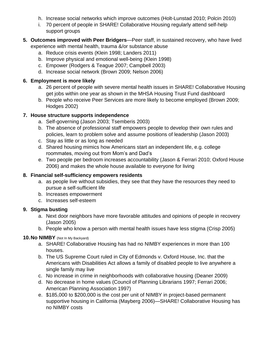- h. Increase social networks which improve outcomes (Holt-Lunstad 2010; Polcin 2010)
- i. 70 percent of people in SHARE! Collaborative Housing regularly attend self-help support groups
- **5. Outcomes improved with Peer Bridgers**—Peer staff, in sustained recovery, who have lived experience with mental health, trauma &/or substance abuse
	- a. Reduce crisis events (Klein 1998; Landers 2011)
	- b. Improve physical and emotional well-being (Klein 1998)
	- c. Empower (Rodgers & Teague 2007; Campbell 2003)
	- d. Increase social network (Brown 2009; Nelson 2006)

#### **6. Employment is more likely**

- a. 26 percent of people with severe mental health issues in SHARE! Collaborative Housing get jobs within one year as shown in the MHSA Housing Trust Fund dashboard
- b. People who receive Peer Services are more likely to become employed (Brown 2009; Hodges 2002)

#### **7. House structure supports independence**

- a. Self-governing (Jason 2003; Tsemberis 2003)
- b. The absence of professional staff empowers people to develop their own rules and policies, learn to problem solve and assume positions of leadership (Jason 2003)
- c. Stay as little or as long as needed
- d. Shared housing mimics how Americans start an independent life, e.g. college roommates, moving out from Mom's and Dad's
- e. Two people per bedroom increases accountability (Jason & Ferrari 2010; Oxford House 2006) and makes the whole house available to everyone for living

#### **8. Financial self-sufficiency empowers residents**

- a. as people live without subsidies, they see that they have the resources they need to pursue a self-sufficient life
- b. Increases empowerment
- c. Increases self-esteem

#### **9. Stigma busting**

- a. Next door neighbors have more favorable attitudes and opinions of people in recovery (Jason 2005)
- b. People who know a person with mental health issues have less stigma (Crisp 2005)

#### **10.No NIMBY** (Not In My Backyard)

- a. SHARE! Collaborative Housing has had no NIMBY experiences in more than 100 houses.
- b. The US Supreme Court ruled in City of Edmonds v. Oxford House, Inc. that the Americans with Disabilities Act allows a family of disabled people to live anywhere a single family may live
- c. No increase in crime in neighborhoods with collaborative housing (Deaner 2009)
- d. No decrease in home values (Council of Planning Librarians 1997; Ferrari 2006; American Planning Association 1997)
- e. \$185,000 to \$200,000 is the cost per unit of NIMBY in project-based permanent supportive housing in California (Mayberg 2006)—SHARE! Collaborative Housing has no NIMBY costs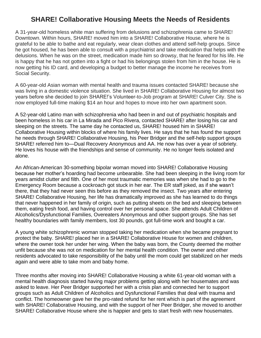### **SHARE! Collaborative Housing Meets the Needs of Residents**

A 31-year-old homeless white man suffering from delusions and schizophrenia came to SHARE! Downtown. Within hours, SHARE! moved him into a SHARE! Collaborative House, where he is grateful to be able to bathe and eat regularly, wear clean clothes and attend self-help groups. Since he got housed, he has been able to consult with a psychiatrist and take medication that helps with the delusions. When he was on the street, medication made him so drowsy, that he feared for his life. He is happy that he has not gotten into a fight or had his belongings stolen from him in the house. He is now getting his ID card, and developing a budget to better manage the income he receives from Social Security.

A 60-year-old Asian woman with mental health and trauma issues contacted SHARE! because she was living in a domestic violence situation. She lived in SHARE! Collaborative Housing for almost two years before she decided to join SHARE!'s Volunteer-to-Job program at SHARE! Culver City. She is now employed full-time making \$14 an hour and hopes to move into her own apartment soon.

A 52-year-old Latino man with schizophrenia who had been in and out of psychiatric hospitals and been homeless in his car in La Mirada and Pico Rivera, contacted SHARE! after losing his car and sleeping on the streets. The same day he contacted us, SHARE! housed him in SHARE! Collaborative Housing within blocks of where his family lives. He says that he has found the support he needs through SHARE! Collaborative Housing, his Peer Bridger and the self-help support groups SHARE! referred him to—Dual Recovery Anonymous and AA. He now has over a year of sobriety. He loves his house with the friendships and sense of community. He no longer feels isolated and alone.

An African-American 30-something bipolar woman moved into SHARE! Collaborative Housing because her mother's hoarding had become unbearable. She had been sleeping in the living room for years amidst clutter and filth. One of her most traumatic memories was when she had to go to the Emergency Room because a cockroach got stuck in her ear. The ER staff joked, as if she wasn't there, that they had never seen this before as they removed the insect. Two years after entering SHARE! Collaborative Housing, her life has dramatically improved as she has learned to do things that never happened in her family of origin, such as putting sheets on the bed and sleeping between them, eating fresh food, and having control over her personal space. She attends Adult Children of Alcoholics/Dysfunctional Families, Overeaters Anonymous and other support groups. She has set healthy boundaries with family members, lost 30 pounds, got full-time work and bought a car.

A young white schizophrenic woman stopped taking her medication when she became pregnant to protect the baby. SHARE! placed her in a SHARE! Collaborative House for women and children, where the owner took her under her wing. When the baby was born, the County deemed the mother unfit because she was not on medication for her mental health condition. The owner and other residents advocated to take responsibility of the baby until the mom could get stabilized on her meds again and were able to take mom and baby home.

Three months after moving into SHARE! Collaborative Housing a white 61-year-old woman with a mental health diagnosis started having major problems getting along with her housemates and was asked to leave. Her Peer Bridger supported her with a crisis plan and connected her to support groups such as Adult Children of Alcoholics and Dysfunctional Families that deal with trauma and conflict. The homeowner gave her the pro-rated refund for her rent which is part of the agreement with SHARE! Collaborative Housing, and with the support of her Peer Bridger, she moved to another SHARE! Collaborative House where she is happier and gets to start fresh with new housemates.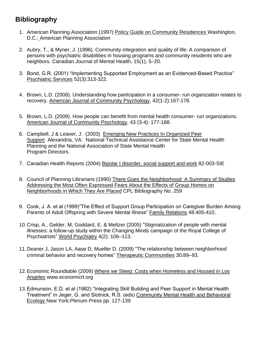# **Bibliography**

- 1. American Planning Association (1997) Policy Guide on Community Residences Washington, D.C.: American Planning Association
- 2. Aubry, T., & Myner, J. (1996). Community integration and quality of life: A comparison of persons with psychiatric disabilities in housing programs and community residents who are neighbors. Canadian Journal of Mental Health, 15(1), 5–20.
- 3. Bond, G.R. (2001) "Implementing Supported Employment as an Evidenced-Based Practice" Psychiatric Services 52(3):313-322.
- 4. Brown, L.D. (2008). Understanding how participation in a consumer- run organization relates to recovery. American Journal of Community Psychology, 42(1-2):167-178.
- 5. Brown, L.D. (2009). How people can benefit from mental health consumer- run organizations. American Journal of Community Psychology, 43 (3-4): 177-188.
- 6. Campbell, J & Leaver, J. (2003) Emerging New Practices In Organized Peer Support Alexandria, VA: National Technical Assistance Center for State Mental Health Planning and the National Association of State Mental Health Program Directors.
- 7. Canadian Health Reports (2004) Bipolar I disorder, social support and work 82-003-SIE
- 8. Council of Planning Librarians (1990) There Goes the Neighborhood: A Summary of Studies Addressing the Most Often Expressed Fears About the Effects of Group Homes on Neighborhoods in Which They Are Placed CPL Bibliography No. 259
- 9. Cook, J. A. et al (1999)"The Effect of Support Group Participation on Caregiver Burden Among Parents of Adult Offspring with Severe Mental Illness" Family Relations 48:405-410.
- 10.Crisp, A., Gelder, M, Goddard, E. & Meltzer (2005) "Stigmatization of people with mental illnesses: a follow-up study within the Changing Minds campaign of the Royal College of Psychiatrists" World Psychiatry 4(2): 106–113.
- 11.Deaner J, Jason LA, Aase D, Mueller D. (2009) "The relationship between neighborhood criminal behavior and recovery homes" Therapeutic Communities 30:89–93.
- 12.Economic Roundtable (2009) Where we Sleep: Costs when Homeless and Housed in Los Angeles www.economicrt.org
- 13.Edmunson, E.D. et al (1982) "Integrating Skill Building and Peer Support in Mental Health Treatment" in Jeger, G. and Slotnick, R.S. (eds) Community Mental Health and Behavioral Ecology New York:Plenum Press pp. 127-139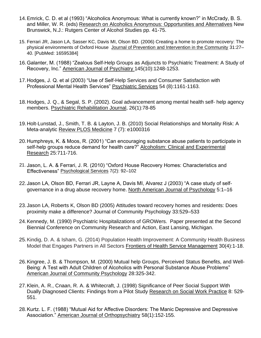- 14.Emrick, C. D. et al (1993) "Alcoholics Anonymous: What is currently known?" in McCrady, B. S. and Miller, W. R. (eds) Research on Alcoholics Anonymous: Opportunities and Alternatives New Brunswick, N.J.: Rutgers Center of Alcohol Studies pp. 41-75.
- 15. Ferrari JR, Jason LA, Sasser KC, Davis MI, Olson BD. (2006) Creating a home to promote recovery: The physical environments of Oxford House Journal of Prevention and Intervention in the Community 31:27– 40. [PubMed: 16595384]
- 16.Galanter, M. (1988) "Zealous Self-Help Groups as Adjuncts to Psychiatric Treatment: A Study of Recovery, Inc." American Journal of Psychiatry 145(10):1248-1253.
- 17.Hodges, J. Q. et al (2003) "Use of Self-Help Services and Consumer Satisfaction with Professional Mental Health Services" Psychiatric Services 54 (8):1161-1163.
- 18.Hodges, J. Q., & Segal, S. P. (2002). Goal advancement among mental health self- help agency members. Psychiatric Rehabilitation Journal, 26(1):78-85
- 19.Holt-Lunstad, J., Smith, T. B. & Layton, J. B. (2010) Social Relationships and Mortality Risk: A Meta-analytic Review PLOS Medicine 7 (7): e1000316
- 20.Humphreys, K. & Moos, R. (2001) "Can encouraging substance abuse patients to participate in self-help groups reduce demand for health care?" Alcoholism: Clinical and Experimental Research 25:711-716.
- 21. Jason, L. A. & Ferrari, J. R. (2010) "Oxford House Recovery Homes: Characteristics and Effectiveness" Psychological Services 7(2): 92–102
- 22.Jason LA, Olson BD, Ferrari JR, Layne A, Davis MI, Alvarez J (2003) "A case study of selfgovernance in a drug abuse recovery home. North American Journal of Psychology 5:1–16
- 23.Jason LA, Roberts K, Olson BD (2005) Attitudes toward recovery homes and residents: Does proximity make a difference? Journal of Community Psychology 33:529–533
- 24.Kennedy, M. (1990) Psychiatric Hospitalizations of GROWers. Paper presented at the Second Biennial Conference on Community Research and Action, East Lansing, Michigan.
- 25.Kindig, D. A. & Isham, G. (2014) Population Health Improvement: A Community Health Business Model that Engages Partners in All Sectors Frontiers of Health Service Management 30(4):1-18.
- 26.Kingree, J. B. & Thompson, M. (2000) Mutual help Groups, Perceived Status Benefits, and Well-Being: A Test with Adult Children of Alcoholics with Personal Substance Abuse Problems" American Journal of Community Psychology 28:325-342.
- 27.Klein, A. R., Cnaan, R. A. & Whitecraft, J. (1998) Significance of Peer Social Support With Dually Diagnosed Clients: Findings from a Pilot Study Research on Social Work Practice 8: 529- 551.
- 28.Kurtz. L. F. (1988) "Mutual Aid for Affective Disorders: The Manic Depressive and Depressive Association." American Journal of Orthopsychiatry 58(1):152-155.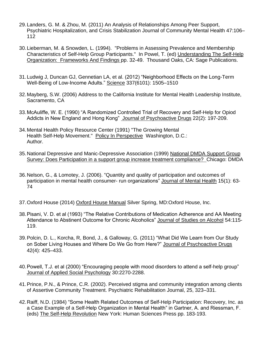- 29.Landers, G. M. & Zhou, M. (2011) An Analysis of Relationships Among Peer Support, Psychiatric Hospitalization, and Crisis Stabilization Journal of Community Mental Health 47:106– 112
- 30.Lieberman, M. & Snowden, L. (1994). "Problems in Assessing Prevalence and Membership Characteristics of Self-Help Group Participants." In Powel, T. (ed) Understanding The Self-Help Organization: Frameworks And Findings pp. 32-49. Thousand Oaks, CA: Sage Publications.
- 31.Ludwig J, Duncan GJ, Gennetian LA, et al. (2012) "Neighborhood Effects on the Long-Term Well-Being of Low-Income Adults." Science 337(6101): 1505–1510
- 32.Mayberg, S.W. (2006) Address to the California Institute for Mental Health Leadership Institute, Sacramento, CA
- 33.McAuliffe, W. E. (1990) "A Randomized Controlled Trial of Recovery and Self-Help for Opiod Addicts in New England and Hong Kong" Journal of Psychoactive Drugs 22(2): 197-209.
- 34.Mental Health Policy Resource Center (1991) "The Growing Mental Health Self-Help Movement." Policy In Perspective Washington, D.C.: Author.
- 35.National Depressive and Manic-Depressive Association (1999) National DMDA Support Group Survey: Does Participation in a support group increase treatment compliance? Chicago: DMDA
- 36.Nelson, G., & Lomotey, J. (2006). "Quantity and quality of participation and outcomes of participation in mental health consumer- run organizations" Journal of Mental Health 15(1): 63- 74
- 37.Oxford House (2014) Oxford House Manual Silver Spring, MD:Oxford House, Inc.
- 38.Pisani, V. D. et al (1993) "The Relative Contributions of Medication Adherence and AA Meeting Attendance to Abstinent Outcome for Chronic Alcoholics" Journal of Studies on Alcohol 54:115-119.
- 39.Polcin, D. L., Korcha, R, Bond, J., & Galloway, G. (2011) "What Did We Learn from Our Study on Sober Living Houses and Where Do We Go from Here?" Journal of Psychoactive Drugs 42(4): 425–433.
- 40.Powell, T.J. et al (2000) "Encouraging people with mood disorders to attend a self-help group" Journal of Applied Social Psychology 30:2270-2288.
- 41.Prince, P.N., & Prince, C.R. (2002). Perceived stigma and community integration among clients of Assertive Community Treatment. Psychiatric Rehabilitation Journal, 25, 323–331.
- 42.Raiff, N.D. (1984) "Some Health Related Outcomes of Self-Help Participation: Recovery, Inc. as a Case Example of a Self-Help Organization in Mental Health" in Gartner, A. and Riessman, F. (eds) The Self-Help Revolution New York: Human Sciences Press pp. 183-193.